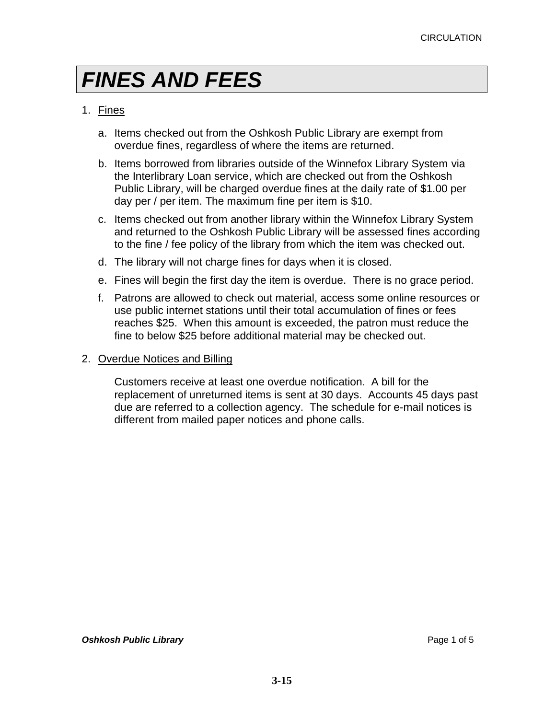### 1. Fines

- a. Items checked out from the Oshkosh Public Library are exempt from overdue fines, regardless of where the items are returned.
- b. Items borrowed from libraries outside of the Winnefox Library System via the Interlibrary Loan service, which are checked out from the Oshkosh Public Library, will be charged overdue fines at the daily rate of \$1.00 per day per / per item. The maximum fine per item is \$10.
- c. Items checked out from another library within the Winnefox Library System and returned to the Oshkosh Public Library will be assessed fines according to the fine / fee policy of the library from which the item was checked out.
- d. The library will not charge fines for days when it is closed.
- e. Fines will begin the first day the item is overdue. There is no grace period.
- f. Patrons are allowed to check out material, access some online resources or use public internet stations until their total accumulation of fines or fees reaches \$25. When this amount is exceeded, the patron must reduce the fine to below \$25 before additional material may be checked out.

### 2. Overdue Notices and Billing

Customers receive at least one overdue notification. A bill for the replacement of unreturned items is sent at 30 days. Accounts 45 days past due are referred to a collection agency. The schedule for e-mail notices is different from mailed paper notices and phone calls.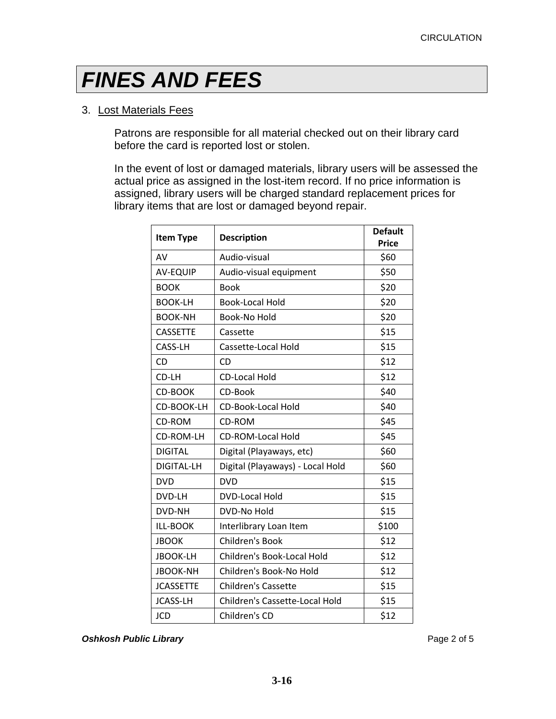### 3. Lost Materials Fees

Patrons are responsible for all material checked out on their library card before the card is reported lost or stolen.

In the event of lost or damaged materials, library users will be assessed the actual price as assigned in the lost-item record. If no price information is assigned, library users will be charged standard replacement prices for library items that are lost or damaged beyond repair.

| <b>Item Type</b>  | <b>Description</b>               | <b>Default</b> |
|-------------------|----------------------------------|----------------|
|                   |                                  | <b>Price</b>   |
| AV                | Audio-visual                     | \$60           |
| <b>AV-EQUIP</b>   | Audio-visual equipment           | \$50           |
| <b>BOOK</b>       | <b>Book</b>                      | \$20           |
| <b>BOOK-LH</b>    | <b>Book-Local Hold</b>           | \$20           |
| <b>BOOK-NH</b>    | Book-No Hold                     | \$20           |
| <b>CASSETTE</b>   | Cassette                         | \$15           |
| CASS-LH           | Cassette-Local Hold              | \$15           |
| CD                | CD                               | \$12           |
| CD-LH             | <b>CD-Local Hold</b>             | \$12           |
| <b>CD-BOOK</b>    | CD-Book                          | \$40           |
| CD-BOOK-LH        | <b>CD-Book-Local Hold</b>        | \$40           |
| CD-ROM            | CD-ROM                           | \$45           |
| CD-ROM-LH         | <b>CD-ROM-Local Hold</b>         | \$45           |
| <b>DIGITAL</b>    | Digital (Playaways, etc)         | \$60           |
| <b>DIGITAL-LH</b> | Digital (Playaways) - Local Hold | \$60           |
| <b>DVD</b>        | <b>DVD</b>                       | \$15           |
| DVD-LH            | DVD-Local Hold                   | \$15           |
| DVD-NH            | <b>DVD-No Hold</b>               | \$15           |
| <b>ILL-BOOK</b>   | Interlibrary Loan Item           | \$100          |
| <b>JBOOK</b>      | Children's Book                  | \$12           |
| <b>JBOOK-LH</b>   | Children's Book-Local Hold       | \$12           |
| <b>JBOOK-NH</b>   | Children's Book-No Hold          | \$12           |
| <b>JCASSETTE</b>  | Children's Cassette              | \$15           |
| <b>JCASS-LH</b>   | Children's Cassette-Local Hold   | \$15           |
| <b>JCD</b>        | Children's CD                    | \$12           |

**Oshkosh Public Library Page 2 of 5 Page 2 of 5**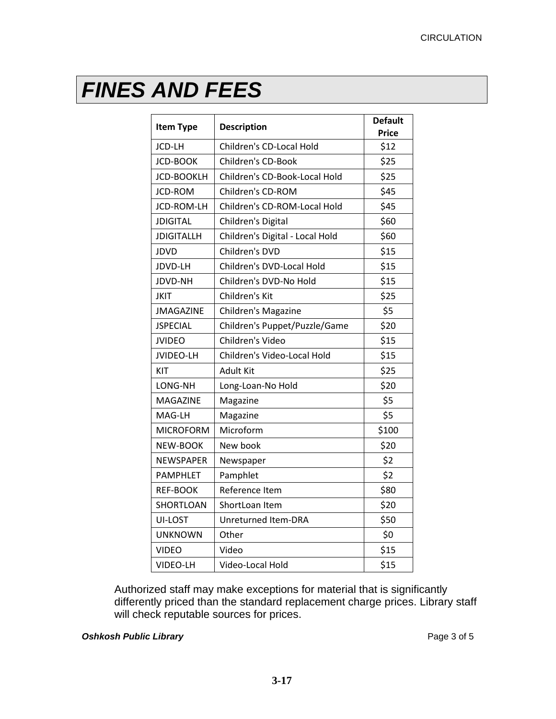| <b>Item Type</b>  | <b>Description</b>              | <b>Default</b><br><b>Price</b> |
|-------------------|---------------------------------|--------------------------------|
| JCD-LH            | Children's CD-Local Hold        | \$12                           |
| <b>JCD-BOOK</b>   | <b>Children's CD-Book</b>       | \$25                           |
| <b>JCD-BOOKLH</b> | Children's CD-Book-Local Hold   | \$25                           |
| JCD-ROM           | Children's CD-ROM               | \$45                           |
| JCD-ROM-LH        | Children's CD-ROM-Local Hold    | \$45                           |
| <b>JDIGITAL</b>   | Children's Digital              | \$60                           |
| <b>JDIGITALLH</b> | Children's Digital - Local Hold | \$60                           |
| <b>JDVD</b>       | Children's DVD                  | \$15                           |
| JDVD-LH           | Children's DVD-Local Hold       | \$15                           |
| <b>JDVD-NH</b>    | Children's DVD-No Hold          | \$15                           |
| JKIT              | Children's Kit                  | \$25                           |
| <b>JMAGAZINE</b>  | Children's Magazine             | \$5                            |
| <b>JSPECIAL</b>   | Children's Puppet/Puzzle/Game   | \$20                           |
| <b>JVIDEO</b>     | Children's Video                | \$15                           |
| <b>JVIDEO-LH</b>  | Children's Video-Local Hold     | \$15                           |
| KIT               | <b>Adult Kit</b>                | \$25                           |
| LONG-NH           | Long-Loan-No Hold               | \$20                           |
| <b>MAGAZINE</b>   | Magazine                        | \$5                            |
| MAG-LH            | Magazine                        | \$5                            |
| <b>MICROFORM</b>  | Microform                       | \$100                          |
| NEW-BOOK          | New book                        | \$20                           |
| <b>NEWSPAPER</b>  | Newspaper                       | \$2                            |
| <b>PAMPHLET</b>   | Pamphlet                        | \$2                            |
| <b>REF-BOOK</b>   | Reference Item                  | \$80                           |
| SHORTLOAN         | ShortLoan Item                  | \$20                           |
| UI-LOST           | Unreturned Item-DRA             | \$50                           |
| <b>UNKNOWN</b>    | Other                           | \$0                            |
| VIDEO             | Video                           | \$15                           |
| VIDEO-LH          | Video-Local Hold                | \$15                           |

Authorized staff may make exceptions for material that is significantly differently priced than the standard replacement charge prices. Library staff will check reputable sources for prices.

### **Oshkosh Public Library Page 3 of 5 Page 3 of 5**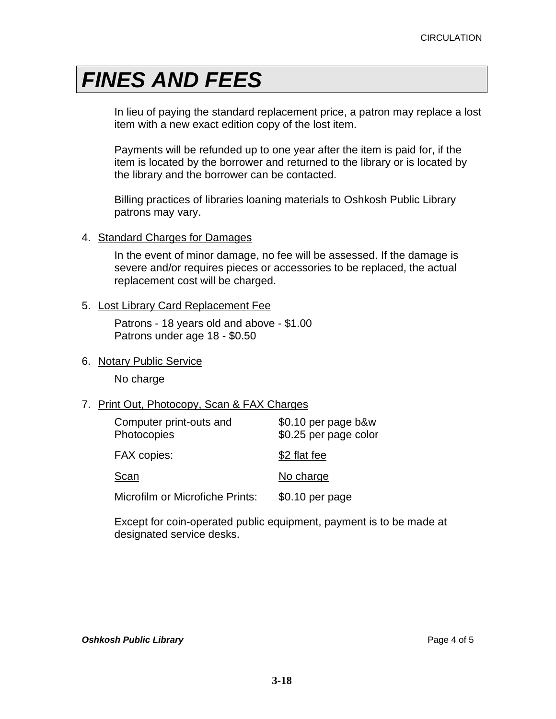In lieu of paying the standard replacement price, a patron may replace a lost item with a new exact edition copy of the lost item.

Payments will be refunded up to one year after the item is paid for, if the item is located by the borrower and returned to the library or is located by the library and the borrower can be contacted.

Billing practices of libraries loaning materials to Oshkosh Public Library patrons may vary.

#### 4. Standard Charges for Damages

In the event of minor damage, no fee will be assessed. If the damage is severe and/or requires pieces or accessories to be replaced, the actual replacement cost will be charged.

#### 5. Lost Library Card Replacement Fee

Patrons - 18 years old and above - \$1.00 Patrons under age 18 - \$0.50

### 6. Notary Public Service

No charge

### 7. Print Out, Photocopy, Scan & FAX Charges

| Computer print-outs and<br>Photocopies | $$0.10$ per page b&w<br>\$0.25 per page color |  |
|----------------------------------------|-----------------------------------------------|--|
| <b>FAX copies:</b>                     | \$2 flat fee                                  |  |
| Scan                                   | No charge                                     |  |
| Microfilm or Microfiche Prints:        | \$0.10 per page                               |  |

Except for coin-operated public equipment, payment is to be made at designated service desks.